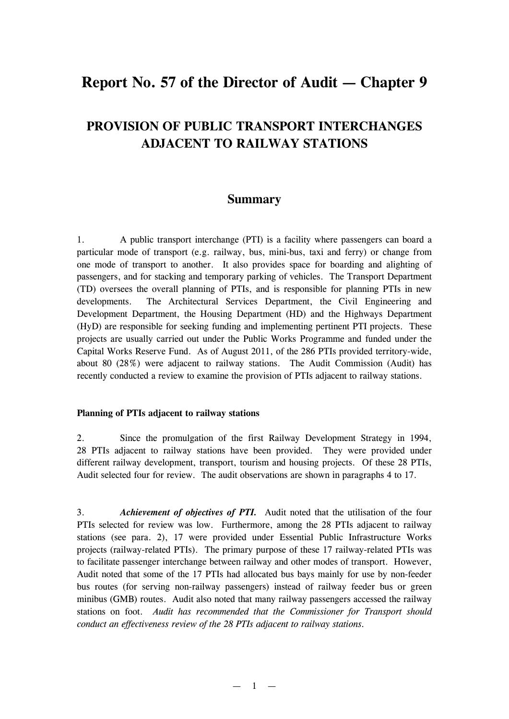# **Report No. 57 of the Director of Audit — Chapter 9**

# **PROVISION OF PUBLIC TRANSPORT INTERCHANGES ADJACENT TO RAILWAY STATIONS**

# **Summary**

1. A public transport interchange (PTI) is a facility where passengers can board a particular mode of transport (e.g. railway, bus, mini-bus, taxi and ferry) or change from one mode of transport to another. It also provides space for boarding and alighting of passengers, and for stacking and temporary parking of vehicles. The Transport Department (TD) oversees the overall planning of PTIs, and is responsible for planning PTIs in new developments. The Architectural Services Department, the Civil Engineering and Development Department, the Housing Department (HD) and the Highways Department (HyD) are responsible for seeking funding and implementing pertinent PTI projects. These projects are usually carried out under the Public Works Programme and funded under the Capital Works Reserve Fund. As of August 2011, of the 286 PTIs provided territory-wide, about 80 (28%) were adjacent to railway stations. The Audit Commission (Audit) has recently conducted a review to examine the provision of PTIs adjacent to railway stations.

#### **Planning of PTIs adjacent to railway stations**

2. Since the promulgation of the first Railway Development Strategy in 1994, 28 PTIs adjacent to railway stations have been provided. They were provided under different railway development, transport, tourism and housing projects. Of these 28 PTIs, Audit selected four for review. The audit observations are shown in paragraphs 4 to 17.

3. *Achievement of objectives of PTI.* Audit noted that the utilisation of the four PTIs selected for review was low. Furthermore, among the 28 PTIs adjacent to railway stations (see para. 2), 17 were provided under Essential Public Infrastructure Works projects (railway-related PTIs). The primary purpose of these 17 railway-related PTIs was to facilitate passenger interchange between railway and other modes of transport. However, Audit noted that some of the 17 PTIs had allocated bus bays mainly for use by non-feeder bus routes (for serving non-railway passengers) instead of railway feeder bus or green minibus (GMB) routes. Audit also noted that many railway passengers accessed the railway stations on foot. *Audit has recommended that the Commissioner for Transport should conduct an effectiveness review of the 28 PTIs adjacent to railway stations.*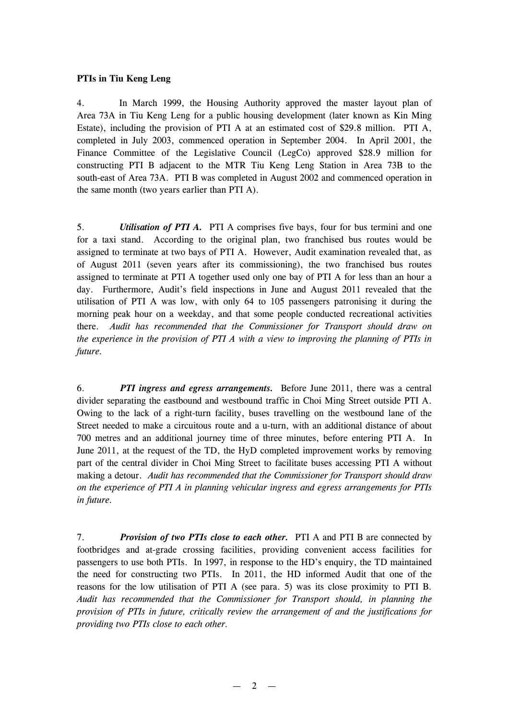### **PTIs in Tiu Keng Leng**

4. In March 1999, the Housing Authority approved the master layout plan of Area 73A in Tiu Keng Leng for a public housing development (later known as Kin Ming Estate), including the provision of PTI A at an estimated cost of \$29.8 million. PTI A, completed in July 2003, commenced operation in September 2004. In April 2001, the Finance Committee of the Legislative Council (LegCo) approved \$28.9 million for constructing PTI B adjacent to the MTR Tiu Keng Leng Station in Area 73B to the south-east of Area 73A. PTI B was completed in August 2002 and commenced operation in the same month (two years earlier than PTI A).

5. *Utilisation of PTI A.* PTI A comprises five bays, four for bus termini and one for a taxi stand. According to the original plan, two franchised bus routes would be assigned to terminate at two bays of PTI A. However, Audit examination revealed that, as of August 2011 (seven years after its commissioning), the two franchised bus routes assigned to terminate at PTI A together used only one bay of PTI A for less than an hour a day. Furthermore, Audit's field inspections in June and August 2011 revealed that the utilisation of PTI A was low, with only 64 to 105 passengers patronising it during the morning peak hour on a weekday, and that some people conducted recreational activities there. *Audit has recommended that the Commissioner for Transport should draw on the experience in the provision of PTI A with a view to improving the planning of PTIs in future.* 

6. *PTI ingress and egress arrangements.* Before June 2011, there was a central divider separating the eastbound and westbound traffic in Choi Ming Street outside PTI A. Owing to the lack of a right-turn facility, buses travelling on the westbound lane of the Street needed to make a circuitous route and a u-turn, with an additional distance of about 700 metres and an additional journey time of three minutes, before entering PTI A. In June 2011, at the request of the TD, the HyD completed improvement works by removing part of the central divider in Choi Ming Street to facilitate buses accessing PTI A without making a detour. *Audit has recommended that the Commissioner for Transport should draw on the experience of PTI A in planning vehicular ingress and egress arrangements for PTIs in future.*

7. *Provision of two PTIs close to each other.* PTI A and PTI B are connected by footbridges and at-grade crossing facilities, providing convenient access facilities for passengers to use both PTIs. In 1997, in response to the HD's enquiry, the TD maintained the need for constructing two PTIs. In 2011, the HD informed Audit that one of the reasons for the low utilisation of PTI A (see para. 5) was its close proximity to PTI B. *Audit has recommended that the Commissioner for Transport should, in planning the provision of PTIs in future, critically review the arrangement of and the justifications for providing two PTIs close to each other.*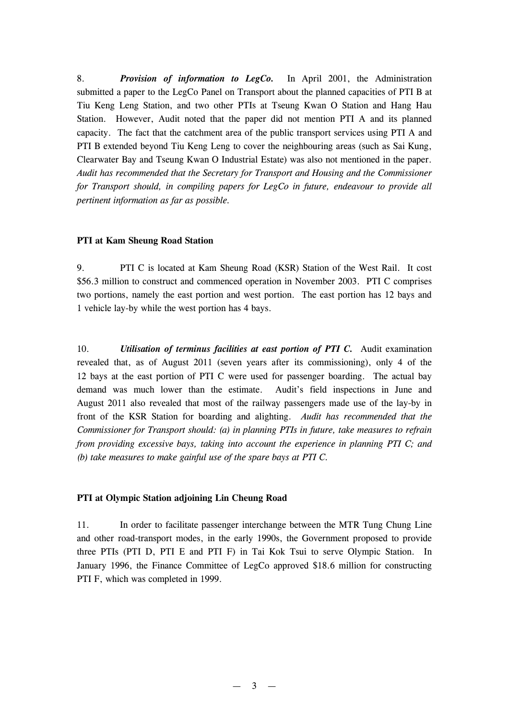8. *Provision of information to LegCo.* In April 2001, the Administration submitted a paper to the LegCo Panel on Transport about the planned capacities of PTI B at Tiu Keng Leng Station, and two other PTIs at Tseung Kwan O Station and Hang Hau Station. However, Audit noted that the paper did not mention PTI A and its planned capacity. The fact that the catchment area of the public transport services using PTI A and PTI B extended beyond Tiu Keng Leng to cover the neighbouring areas (such as Sai Kung, Clearwater Bay and Tseung Kwan O Industrial Estate) was also not mentioned in the paper. *Audit has recommended that the Secretary for Transport and Housing and the Commissioner for Transport should, in compiling papers for LegCo in future, endeavour to provide all pertinent information as far as possible.* 

### **PTI at Kam Sheung Road Station**

9. PTI C is located at Kam Sheung Road (KSR) Station of the West Rail. It cost \$56.3 million to construct and commenced operation in November 2003. PTI C comprises two portions, namely the east portion and west portion. The east portion has 12 bays and 1 vehicle lay-by while the west portion has 4 bays.

10. *Utilisation of terminus facilities at east portion of PTI C.* Audit examination revealed that, as of August 2011 (seven years after its commissioning), only 4 of the 12 bays at the east portion of PTI C were used for passenger boarding. The actual bay demand was much lower than the estimate. Audit's field inspections in June and August 2011 also revealed that most of the railway passengers made use of the lay-by in front of the KSR Station for boarding and alighting. *Audit has recommended that the Commissioner for Transport should: (a) in planning PTIs in future, take measures to refrain from providing excessive bays, taking into account the experience in planning PTI C; and (b) take measures to make gainful use of the spare bays at PTI C.* 

#### **PTI at Olympic Station adjoining Lin Cheung Road**

11. In order to facilitate passenger interchange between the MTR Tung Chung Line and other road-transport modes, in the early 1990s, the Government proposed to provide three PTIs (PTI D, PTI E and PTI F) in Tai Kok Tsui to serve Olympic Station. In January 1996, the Finance Committee of LegCo approved \$18.6 million for constructing PTI F, which was completed in 1999.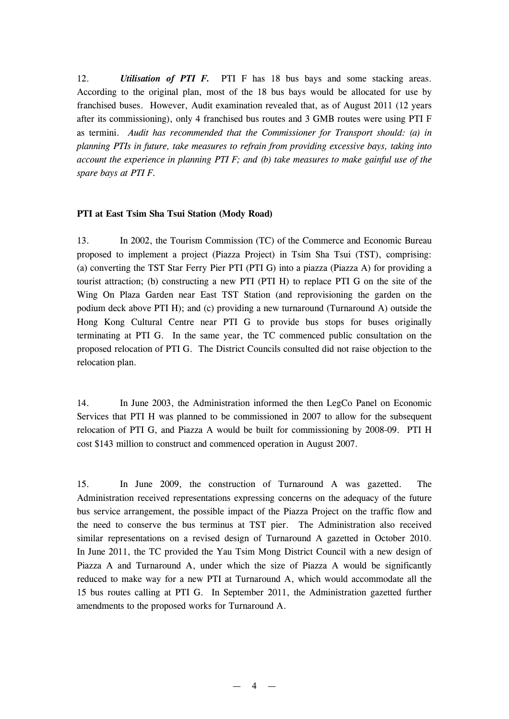12. *Utilisation of PTI F.* PTI F has 18 bus bays and some stacking areas. According to the original plan, most of the 18 bus bays would be allocated for use by franchised buses. However, Audit examination revealed that, as of August 2011 (12 years after its commissioning), only 4 franchised bus routes and 3 GMB routes were using PTI F as termini. *Audit has recommended that the Commissioner for Transport should: (a) in planning PTIs in future, take measures to refrain from providing excessive bays, taking into account the experience in planning PTI F; and (b) take measures to make gainful use of the spare bays at PTI F.* 

## **PTI at East Tsim Sha Tsui Station (Mody Road)**

13. In 2002, the Tourism Commission (TC) of the Commerce and Economic Bureau proposed to implement a project (Piazza Project) in Tsim Sha Tsui (TST), comprising: (a) converting the TST Star Ferry Pier PTI (PTI G) into a piazza (Piazza A) for providing a tourist attraction; (b) constructing a new PTI (PTI H) to replace PTI G on the site of the Wing On Plaza Garden near East TST Station (and reprovisioning the garden on the podium deck above PTI H); and (c) providing a new turnaround (Turnaround A) outside the Hong Kong Cultural Centre near PTI G to provide bus stops for buses originally terminating at PTI G. In the same year, the TC commenced public consultation on the proposed relocation of PTI G. The District Councils consulted did not raise objection to the relocation plan.

14. In June 2003, the Administration informed the then LegCo Panel on Economic Services that PTI H was planned to be commissioned in 2007 to allow for the subsequent relocation of PTI G, and Piazza A would be built for commissioning by 2008-09. PTI H cost \$143 million to construct and commenced operation in August 2007.

15. In June 2009, the construction of Turnaround A was gazetted. The Administration received representations expressing concerns on the adequacy of the future bus service arrangement, the possible impact of the Piazza Project on the traffic flow and the need to conserve the bus terminus at TST pier. The Administration also received similar representations on a revised design of Turnaround A gazetted in October 2010. In June 2011, the TC provided the Yau Tsim Mong District Council with a new design of Piazza A and Turnaround A, under which the size of Piazza A would be significantly reduced to make way for a new PTI at Turnaround A, which would accommodate all the 15 bus routes calling at PTI G. In September 2011, the Administration gazetted further amendments to the proposed works for Turnaround A.